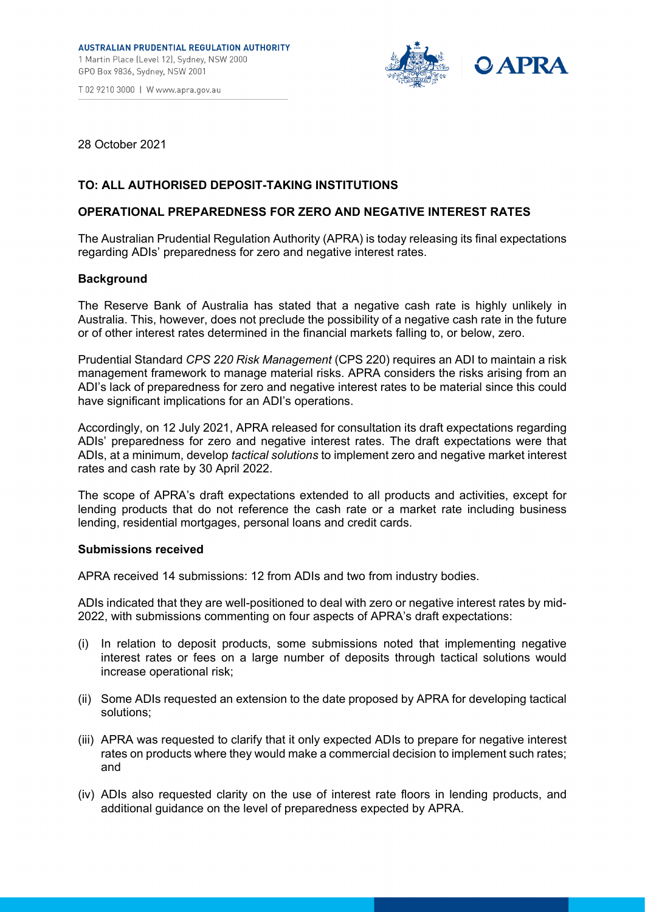



28 October 2021

# **TO: ALL AUTHORISED DEPOSIT-TAKING INSTITUTIONS**

## **OPERATIONAL PREPAREDNESS FOR ZERO AND NEGATIVE INTEREST RATES**

The Australian Prudential Regulation Authority (APRA) is today releasing its final expectations regarding ADIs' preparedness for zero and negative interest rates.

#### **Background**

The Reserve Bank of Australia has stated that a negative cash rate is highly unlikely in Australia. This, however, does not preclude the possibility of a negative cash rate in the future or of other interest rates determined in the financial markets falling to, or below, zero.

Prudential Standard *CPS 220 Risk Management* (CPS 220) requires an ADI to maintain a risk management framework to manage material risks. APRA considers the risks arising from an ADI's lack of preparedness for zero and negative interest rates to be material since this could have significant implications for an ADI's operations.

Accordingly, on 12 July 2021, APRA released for consultation its draft expectations regarding ADIs' preparedness for zero and negative interest rates. The draft expectations were that ADIs, at a minimum, develop *tactical solutions* to implement zero and negative market interest rates and cash rate by 30 April 2022.

The scope of APRA's draft expectations extended to all products and activities, except for lending products that do not reference the cash rate or a market rate including business lending, residential mortgages, personal loans and credit cards.

#### **Submissions received**

APRA received 14 submissions: 12 from ADIs and two from industry bodies.

ADIs indicated that they are well-positioned to deal with zero or negative interest rates by mid-2022, with submissions commenting on four aspects of APRA's draft expectations:

- (i) In relation to deposit products, some submissions noted that implementing negative interest rates or fees on a large number of deposits through tactical solutions would increase operational risk;
- (ii) Some ADIs requested an extension to the date proposed by APRA for developing tactical solutions;
- (iii) APRA was requested to clarify that it only expected ADIs to prepare for negative interest rates on products where they would make a commercial decision to implement such rates; and
- (iv) ADIs also requested clarity on the use of interest rate floors in lending products, and additional guidance on the level of preparedness expected by APRA.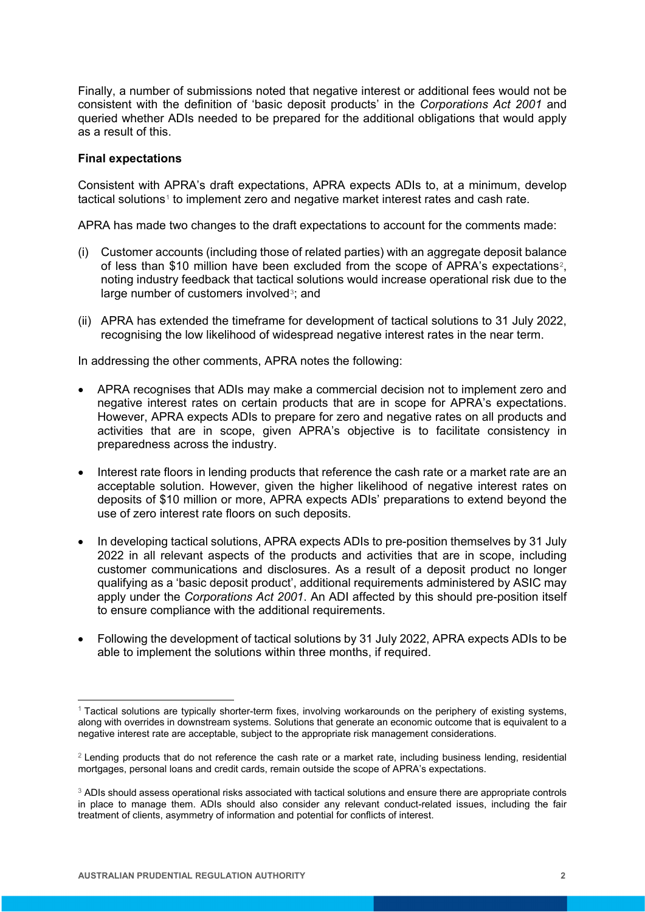Finally, a number of submissions noted that negative interest or additional fees would not be consistent with the definition of 'basic deposit products' in the *Corporations Act 2001* and queried whether ADIs needed to be prepared for the additional obligations that would apply as a result of this.

### **Final expectations**

Consistent with APRA's draft expectations, APRA expects ADIs to, at a minimum, develop tactical solutions[1](#page-1-0) to implement zero and negative market interest rates and cash rate.

APRA has made two changes to the draft expectations to account for the comments made:

- (i) Customer accounts (including those of related parties) with an aggregate deposit balance of less than \$10 million have been excluded from the scope of APRA's expectations<sup>[2](#page-1-1)</sup>, noting industry feedback that tactical solutions would increase operational risk due to the large number of customers involved<sup>[3](#page-1-2)</sup>; and
- (ii) APRA has extended the timeframe for development of tactical solutions to 31 July 2022, recognising the low likelihood of widespread negative interest rates in the near term.

In addressing the other comments, APRA notes the following:

- APRA recognises that ADIs may make a commercial decision not to implement zero and negative interest rates on certain products that are in scope for APRA's expectations. However, APRA expects ADIs to prepare for zero and negative rates on all products and activities that are in scope, given APRA's objective is to facilitate consistency in preparedness across the industry.
- Interest rate floors in lending products that reference the cash rate or a market rate are an acceptable solution. However, given the higher likelihood of negative interest rates on deposits of \$10 million or more, APRA expects ADIs' preparations to extend beyond the use of zero interest rate floors on such deposits.
- In developing tactical solutions, APRA expects ADIs to pre-position themselves by 31 July 2022 in all relevant aspects of the products and activities that are in scope, including customer communications and disclosures. As a result of a deposit product no longer qualifying as a 'basic deposit product', additional requirements administered by ASIC may apply under the *Corporations Act 2001*. An ADI affected by this should pre-position itself to ensure compliance with the additional requirements.
- Following the development of tactical solutions by 31 July 2022, APRA expects ADIs to be able to implement the solutions within three months, if required.

<span id="page-1-0"></span><sup>1</sup> Tactical solutions are typically shorter-term fixes, involving workarounds on the periphery of existing systems, along with overrides in downstream systems. Solutions that generate an economic outcome that is equivalent to a negative interest rate are acceptable, subject to the appropriate risk management considerations.

<span id="page-1-1"></span><sup>&</sup>lt;sup>2</sup> Lendina products that do not reference the cash rate or a market rate, including business lending, residential mortgages, personal loans and credit cards, remain outside the scope of APRA's expectations.

<span id="page-1-2"></span><sup>&</sup>lt;sup>3</sup> ADIs should assess operational risks associated with tactical solutions and ensure there are appropriate controls in place to manage them. ADIs should also consider any relevant conduct-related issues, including the fair treatment of clients, asymmetry of information and potential for conflicts of interest.